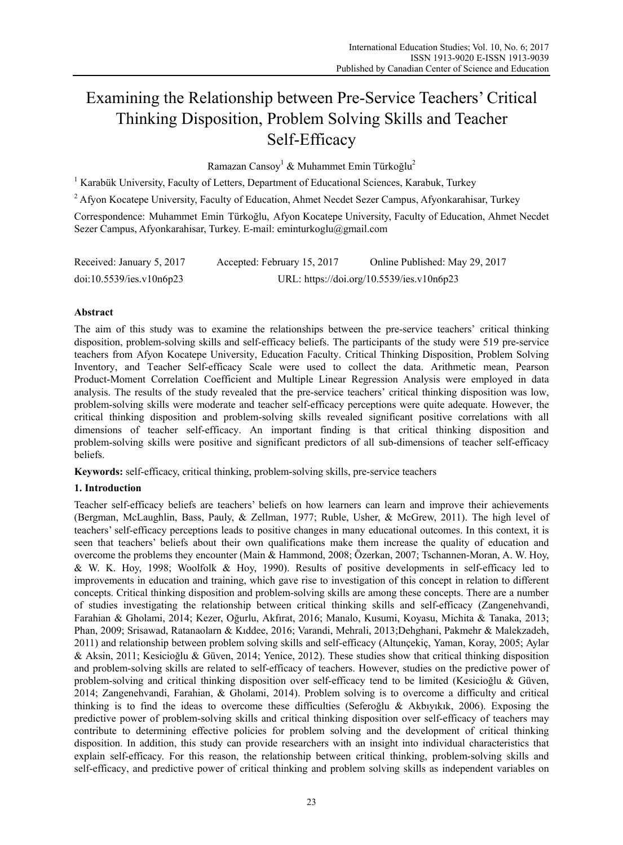# Examining the Relationship between Pre-Service Teachers' Critical Thinking Disposition, Problem Solving Skills and Teacher Self-Efficacy

Ramazan Cansoy<sup>1</sup> & Muhammet Emin Türkoğlu<sup>2</sup>

<sup>1</sup> Karabük University, Faculty of Letters, Department of Educational Sciences, Karabuk, Turkey

<sup>2</sup> Afyon Kocatepe University, Faculty of Education, Ahmet Necdet Sezer Campus, Afyonkarahisar, Turkey

Correspondence: Muhammet Emin Türkoğlu, Afyon Kocatepe University, Faculty of Education, Ahmet Necdet Sezer Campus, Afyonkarahisar, Turkey. E-mail: eminturkoglu@gmail.com

| Received: January 5, 2017 | Accepted: February 15, 2017 | Online Published: May 29, 2017            |
|---------------------------|-----------------------------|-------------------------------------------|
| doi:10.5539/ies.v10n6p23  |                             | URL: https://doi.org/10.5539/ies.v10n6p23 |

## **Abstract**

The aim of this study was to examine the relationships between the pre-service teachers' critical thinking disposition, problem-solving skills and self-efficacy beliefs. The participants of the study were 519 pre-service teachers from Afyon Kocatepe University, Education Faculty. Critical Thinking Disposition, Problem Solving Inventory, and Teacher Self-efficacy Scale were used to collect the data. Arithmetic mean, Pearson Product-Moment Correlation Coefficient and Multiple Linear Regression Analysis were employed in data analysis. The results of the study revealed that the pre-service teachers' critical thinking disposition was low, problem-solving skills were moderate and teacher self-efficacy perceptions were quite adequate. However, the critical thinking disposition and problem-solving skills revealed significant positive correlations with all dimensions of teacher self-efficacy. An important finding is that critical thinking disposition and problem-solving skills were positive and significant predictors of all sub-dimensions of teacher self-efficacy beliefs.

**Keywords:** self-efficacy, critical thinking, problem-solving skills, pre-service teachers

## **1. Introduction**

Teacher self-efficacy beliefs are teachers' beliefs on how learners can learn and improve their achievements (Bergman, McLaughlin, Bass, Pauly, & Zellman, 1977; Ruble, Usher, & McGrew, 2011). The high level of teachers' self-efficacy perceptions leads to positive changes in many educational outcomes. In this context, it is seen that teachers' beliefs about their own qualifications make them increase the quality of education and overcome the problems they encounter (Main & Hammond, 2008; Özerkan, 2007; Tschannen-Moran, A. W. Hoy, & W. K. Hoy, 1998; Woolfolk & Hoy, 1990). Results of positive developments in self-efficacy led to improvements in education and training, which gave rise to investigation of this concept in relation to different concepts. Critical thinking disposition and problem-solving skills are among these concepts. There are a number of studies investigating the relationship between critical thinking skills and self-efficacy (Zangenehvandi, Farahian & Gholami, 2014; Kezer, Oğurlu, Akfırat, 2016; Manalo, Kusumi, Koyasu, Michita & Tanaka, 2013; Phan, 2009; Srisawad, Ratanaolarn & Kıddee, 2016; Varandi, Mehrali, 2013;Dehghani, Pakmehr & Malekzadeh, 2011) and relationship between problem solving skills and self-efficacy (Altunçekiç, Yaman, Koray, 2005; Aylar & Aksin, 2011; Kesicioğlu & Güven, 2014; Yenice, 2012). These studies show that critical thinking disposition and problem-solving skills are related to self-efficacy of teachers. However, studies on the predictive power of problem-solving and critical thinking disposition over self-efficacy tend to be limited (Kesicioğlu & Güven, 2014; Zangenehvandi, Farahian, & Gholami, 2014). Problem solving is to overcome a difficulty and critical thinking is to find the ideas to overcome these difficulties (Seferoğlu & Akbıyıkık, 2006). Exposing the predictive power of problem-solving skills and critical thinking disposition over self-efficacy of teachers may contribute to determining effective policies for problem solving and the development of critical thinking disposition. In addition, this study can provide researchers with an insight into individual characteristics that explain self-efficacy. For this reason, the relationship between critical thinking, problem-solving skills and self-efficacy, and predictive power of critical thinking and problem solving skills as independent variables on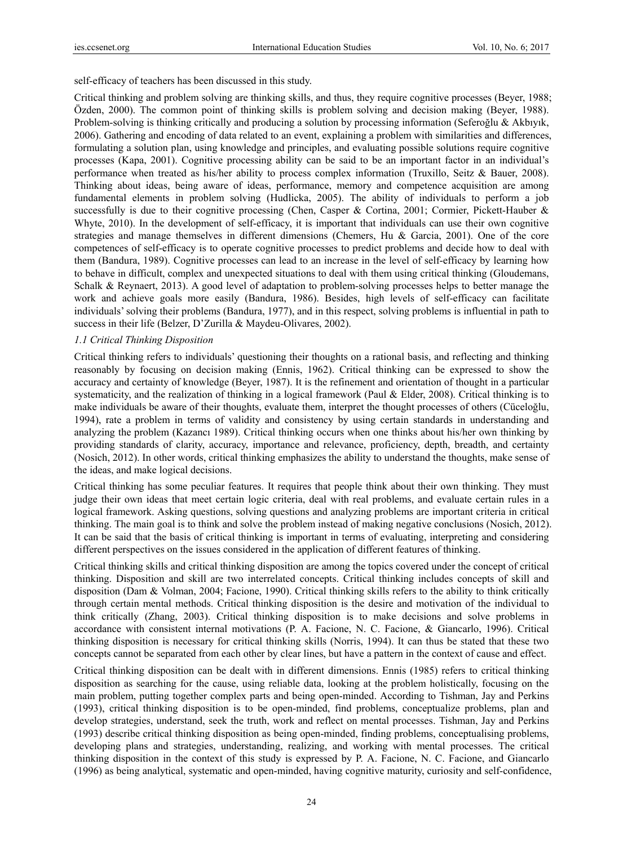self-efficacy of teachers has been discussed in this study.

Critical thinking and problem solving are thinking skills, and thus, they require cognitive processes (Beyer, 1988; Özden, 2000). The common point of thinking skills is problem solving and decision making (Beyer, 1988). Problem-solving is thinking critically and producing a solution by processing information (Seferoğlu & Akbıyık, 2006). Gathering and encoding of data related to an event, explaining a problem with similarities and differences, formulating a solution plan, using knowledge and principles, and evaluating possible solutions require cognitive processes (Kapa, 2001). Cognitive processing ability can be said to be an important factor in an individual's performance when treated as his/her ability to process complex information (Truxillo, Seitz & Bauer, 2008). Thinking about ideas, being aware of ideas, performance, memory and competence acquisition are among fundamental elements in problem solving (Hudlicka, 2005). The ability of individuals to perform a job successfully is due to their cognitive processing (Chen, Casper & Cortina, 2001; Cormier, Pickett-Hauber & Whyte, 2010). In the development of self-efficacy, it is important that individuals can use their own cognitive strategies and manage themselves in different dimensions (Chemers, Hu & Garcia, 2001). One of the core competences of self-efficacy is to operate cognitive processes to predict problems and decide how to deal with them (Bandura, 1989). Cognitive processes can lead to an increase in the level of self-efficacy by learning how to behave in difficult, complex and unexpected situations to deal with them using critical thinking (Gloudemans, Schalk & Reynaert, 2013). A good level of adaptation to problem-solving processes helps to better manage the work and achieve goals more easily (Bandura, 1986). Besides, high levels of self-efficacy can facilitate individuals' solving their problems (Bandura, 1977), and in this respect, solving problems is influential in path to success in their life (Belzer, D'Zurilla & Maydeu-Olivares, 2002).

#### *1.1 Critical Thinking Disposition*

Critical thinking refers to individuals' questioning their thoughts on a rational basis, and reflecting and thinking reasonably by focusing on decision making (Ennis, 1962). Critical thinking can be expressed to show the accuracy and certainty of knowledge (Beyer, 1987). It is the refinement and orientation of thought in a particular systematicity, and the realization of thinking in a logical framework (Paul & Elder, 2008). Critical thinking is to make individuals be aware of their thoughts, evaluate them, interpret the thought processes of others (Cüceloğlu, 1994), rate a problem in terms of validity and consistency by using certain standards in understanding and analyzing the problem (Kazancı 1989). Critical thinking occurs when one thinks about his/her own thinking by providing standards of clarity, accuracy, importance and relevance, proficiency, depth, breadth, and certainty (Nosich, 2012). In other words, critical thinking emphasizes the ability to understand the thoughts, make sense of the ideas, and make logical decisions.

Critical thinking has some peculiar features. It requires that people think about their own thinking. They must judge their own ideas that meet certain logic criteria, deal with real problems, and evaluate certain rules in a logical framework. Asking questions, solving questions and analyzing problems are important criteria in critical thinking. The main goal is to think and solve the problem instead of making negative conclusions (Nosich, 2012). It can be said that the basis of critical thinking is important in terms of evaluating, interpreting and considering different perspectives on the issues considered in the application of different features of thinking.

Critical thinking skills and critical thinking disposition are among the topics covered under the concept of critical thinking. Disposition and skill are two interrelated concepts. Critical thinking includes concepts of skill and disposition (Dam & Volman, 2004; Facione, 1990). Critical thinking skills refers to the ability to think critically through certain mental methods. Critical thinking disposition is the desire and motivation of the individual to think critically (Zhang, 2003). Critical thinking disposition is to make decisions and solve problems in accordance with consistent internal motivations (P. A. Facione, N. C. Facione, & Giancarlo, 1996). Critical thinking disposition is necessary for critical thinking skills (Norris, 1994). It can thus be stated that these two concepts cannot be separated from each other by clear lines, but have a pattern in the context of cause and effect.

Critical thinking disposition can be dealt with in different dimensions. Ennis (1985) refers to critical thinking disposition as searching for the cause, using reliable data, looking at the problem holistically, focusing on the main problem, putting together complex parts and being open-minded. According to Tishman, Jay and Perkins (1993), critical thinking disposition is to be open-minded, find problems, conceptualize problems, plan and develop strategies, understand, seek the truth, work and reflect on mental processes. Tishman, Jay and Perkins (1993) describe critical thinking disposition as being open-minded, finding problems, conceptualising problems, developing plans and strategies, understanding, realizing, and working with mental processes. The critical thinking disposition in the context of this study is expressed by P. A. Facione, N. C. Facione, and Giancarlo (1996) as being analytical, systematic and open-minded, having cognitive maturity, curiosity and self-confidence,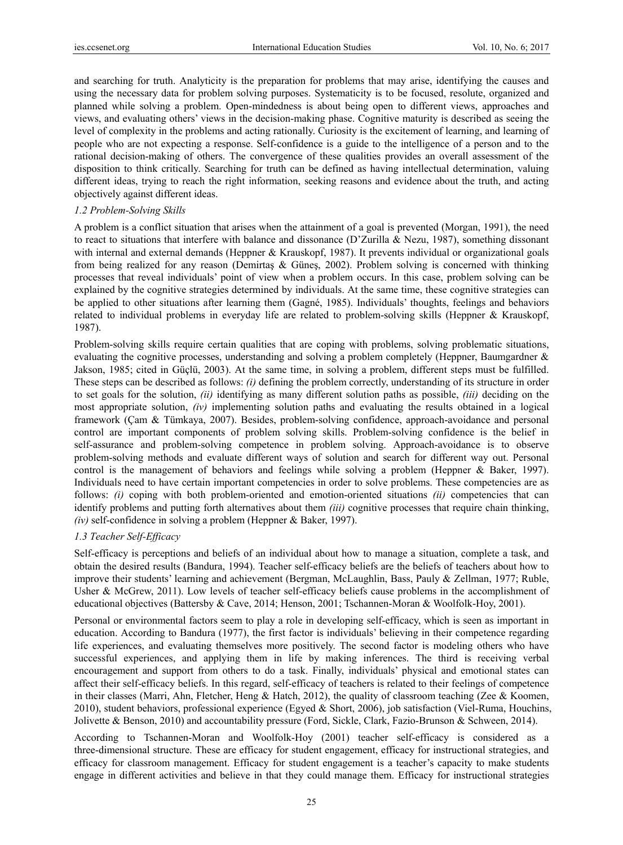and searching for truth. Analyticity is the preparation for problems that may arise, identifying the causes and using the necessary data for problem solving purposes. Systematicity is to be focused, resolute, organized and planned while solving a problem. Open-mindedness is about being open to different views, approaches and views, and evaluating others' views in the decision-making phase. Cognitive maturity is described as seeing the level of complexity in the problems and acting rationally. Curiosity is the excitement of learning, and learning of people who are not expecting a response. Self-confidence is a guide to the intelligence of a person and to the rational decision-making of others. The convergence of these qualities provides an overall assessment of the disposition to think critically. Searching for truth can be defined as having intellectual determination, valuing different ideas, trying to reach the right information, seeking reasons and evidence about the truth, and acting objectively against different ideas.

#### *1.2 Problem-Solving Skills*

A problem is a conflict situation that arises when the attainment of a goal is prevented (Morgan, 1991), the need to react to situations that interfere with balance and dissonance (D'Zurilla & Nezu, 1987), something dissonant with internal and external demands (Heppner & Krauskopf, 1987). It prevents individual or organizational goals from being realized for any reason (Demirtaş & Güneş, 2002). Problem solving is concerned with thinking processes that reveal individuals' point of view when a problem occurs. In this case, problem solving can be explained by the cognitive strategies determined by individuals. At the same time, these cognitive strategies can be applied to other situations after learning them (Gagné, 1985). Individuals' thoughts, feelings and behaviors related to individual problems in everyday life are related to problem-solving skills (Heppner & Krauskopf, 1987).

Problem-solving skills require certain qualities that are coping with problems, solving problematic situations, evaluating the cognitive processes, understanding and solving a problem completely (Heppner, Baumgardner & Jakson, 1985; cited in Güçlü, 2003). At the same time, in solving a problem, different steps must be fulfilled. These steps can be described as follows: *(i)* defining the problem correctly, understanding of its structure in order to set goals for the solution, *(ii)* identifying as many different solution paths as possible, *(iii)* deciding on the most appropriate solution, *(iv)* implementing solution paths and evaluating the results obtained in a logical framework (Çam & Tümkaya, 2007). Besides, problem-solving confidence, approach-avoidance and personal control are important components of problem solving skills. Problem-solving confidence is the belief in self-assurance and problem-solving competence in problem solving. Approach-avoidance is to observe problem-solving methods and evaluate different ways of solution and search for different way out. Personal control is the management of behaviors and feelings while solving a problem (Heppner & Baker, 1997). Individuals need to have certain important competencies in order to solve problems. These competencies are as follows: *(i)* coping with both problem-oriented and emotion-oriented situations *(ii)* competencies that can identify problems and putting forth alternatives about them *(iii)* cognitive processes that require chain thinking, *(iv)* self-confidence in solving a problem (Heppner & Baker, 1997).

#### *1.3 Teacher Self-Efficacy*

Self-efficacy is perceptions and beliefs of an individual about how to manage a situation, complete a task, and obtain the desired results (Bandura, 1994). Teacher self-efficacy beliefs are the beliefs of teachers about how to improve their students' learning and achievement (Bergman, McLaughlin, Bass, Pauly & Zellman, 1977; Ruble, Usher & McGrew, 2011). Low levels of teacher self-efficacy beliefs cause problems in the accomplishment of educational objectives (Battersby & Cave, 2014; Henson, 2001; Tschannen-Moran & Woolfolk-Hoy, 2001).

Personal or environmental factors seem to play a role in developing self-efficacy, which is seen as important in education. According to Bandura (1977), the first factor is individuals' believing in their competence regarding life experiences, and evaluating themselves more positively. The second factor is modeling others who have successful experiences, and applying them in life by making inferences. The third is receiving verbal encouragement and support from others to do a task. Finally, individuals' physical and emotional states can affect their self-efficacy beliefs. In this regard, self-efficacy of teachers is related to their feelings of competence in their classes (Marri, Ahn, Fletcher, Heng & Hatch, 2012), the quality of classroom teaching (Zee & Koomen, 2010), student behaviors, professional experience (Egyed & Short, 2006), job satisfaction (Viel-Ruma, Houchins, Jolivette & Benson, 2010) and accountability pressure (Ford, Sickle, Clark, Fazio-Brunson & Schween, 2014).

According to Tschannen-Moran and Woolfolk-Hoy (2001) teacher self-efficacy is considered as a three-dimensional structure. These are efficacy for student engagement, efficacy for instructional strategies, and efficacy for classroom management. Efficacy for student engagement is a teacher's capacity to make students engage in different activities and believe in that they could manage them. Efficacy for instructional strategies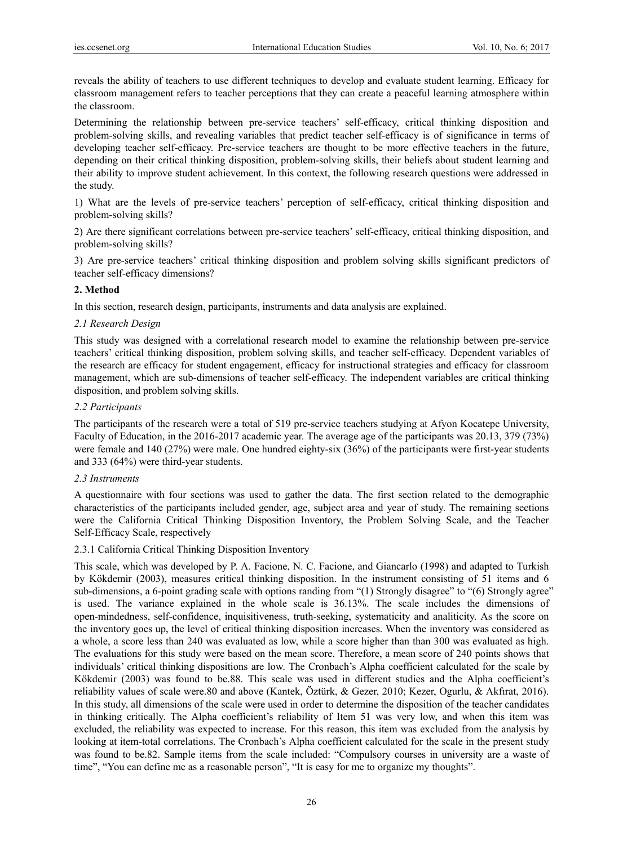reveals the ability of teachers to use different techniques to develop and evaluate student learning. Efficacy for classroom management refers to teacher perceptions that they can create a peaceful learning atmosphere within the classroom.

Determining the relationship between pre-service teachers' self-efficacy, critical thinking disposition and problem-solving skills, and revealing variables that predict teacher self-efficacy is of significance in terms of developing teacher self-efficacy. Pre-service teachers are thought to be more effective teachers in the future, depending on their critical thinking disposition, problem-solving skills, their beliefs about student learning and their ability to improve student achievement. In this context, the following research questions were addressed in the study.

1) What are the levels of pre-service teachers' perception of self-efficacy, critical thinking disposition and problem-solving skills?

2) Are there significant correlations between pre-service teachers' self-efficacy, critical thinking disposition, and problem-solving skills?

3) Are pre-service teachers' critical thinking disposition and problem solving skills significant predictors of teacher self-efficacy dimensions?

## **2. Method**

In this section, research design, participants, instruments and data analysis are explained.

## *2.1 Research Design*

This study was designed with a correlational research model to examine the relationship between pre-service teachers' critical thinking disposition, problem solving skills, and teacher self-efficacy. Dependent variables of the research are efficacy for student engagement, efficacy for instructional strategies and efficacy for classroom management, which are sub-dimensions of teacher self-efficacy. The independent variables are critical thinking disposition, and problem solving skills.

# *2.2 Participants*

The participants of the research were a total of 519 pre-service teachers studying at Afyon Kocatepe University, Faculty of Education, in the 2016-2017 academic year. The average age of the participants was 20.13, 379 (73%) were female and 140 (27%) were male. One hundred eighty-six (36%) of the participants were first-year students and 333 (64%) were third-year students.

## *2.3 Instruments*

A questionnaire with four sections was used to gather the data. The first section related to the demographic characteristics of the participants included gender, age, subject area and year of study. The remaining sections were the California Critical Thinking Disposition Inventory, the Problem Solving Scale, and the Teacher Self-Efficacy Scale, respectively

## 2.3.1 California Critical Thinking Disposition Inventory

This scale, which was developed by P. A. Facione, N. C. Facione, and Giancarlo (1998) and adapted to Turkish by Kökdemir (2003), measures critical thinking disposition. In the instrument consisting of 51 items and 6 sub-dimensions, a 6-point grading scale with options randing from "(1) Strongly disagree" to "(6) Strongly agree" is used. The variance explained in the whole scale is 36.13%. The scale includes the dimensions of open-mindedness, self-confidence, inquisitiveness, truth-seeking, systematicity and analiticity. As the score on the inventory goes up, the level of critical thinking disposition increases. When the inventory was considered as a whole, a score less than 240 was evaluated as low, while a score higher than than 300 was evaluated as high. The evaluations for this study were based on the mean score. Therefore, a mean score of 240 points shows that individuals' critical thinking dispositions are low. The Cronbach's Alpha coefficient calculated for the scale by Kökdemir (2003) was found to be.88. This scale was used in different studies and the Alpha coefficient's reliability values of scale were.80 and above (Kantek, Öztürk, & Gezer, 2010; Kezer, Ogurlu, & Akfırat, 2016). In this study, all dimensions of the scale were used in order to determine the disposition of the teacher candidates in thinking critically. The Alpha coefficient's reliability of Item 51 was very low, and when this item was excluded, the reliability was expected to increase. For this reason, this item was excluded from the analysis by looking at item-total correlations. The Cronbach's Alpha coefficient calculated for the scale in the present study was found to be.82. Sample items from the scale included: "Compulsory courses in university are a waste of time", "You can define me as a reasonable person", "It is easy for me to organize my thoughts".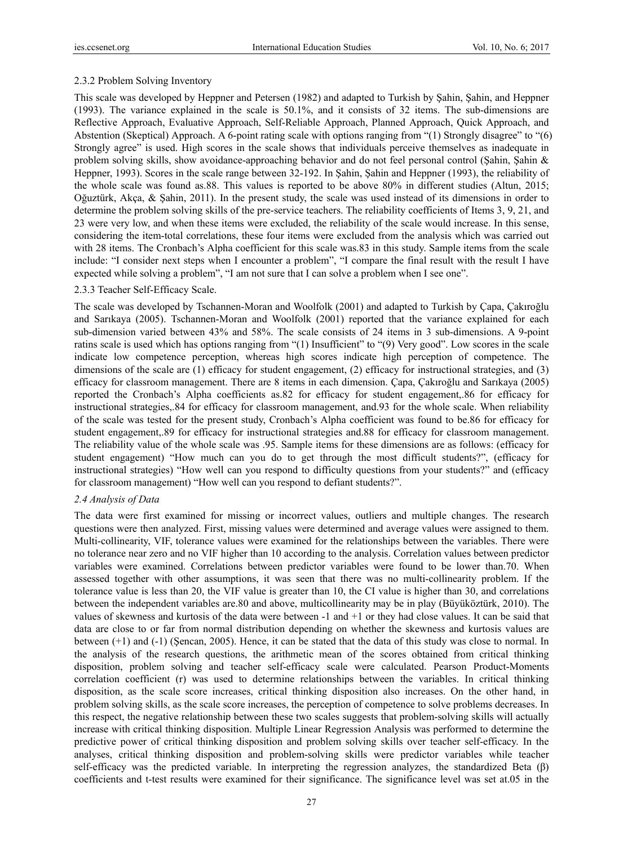# 2.3.2 Problem Solving Inventory

This scale was developed by Heppner and Petersen (1982) and adapted to Turkish by Şahin, Şahin, and Heppner (1993). The variance explained in the scale is 50.1%, and it consists of 32 items. The sub-dimensions are Reflective Approach, Evaluative Approach, Self-Reliable Approach, Planned Approach, Quick Approach, and Abstention (Skeptical) Approach. A 6-point rating scale with options ranging from "(1) Strongly disagree" to "(6) Strongly agree" is used. High scores in the scale shows that individuals perceive themselves as inadequate in problem solving skills, show avoidance-approaching behavior and do not feel personal control (Şahin, Şahin & Heppner, 1993). Scores in the scale range between 32-192. In Şahin, Şahin and Heppner (1993), the reliability of the whole scale was found as.88. This values is reported to be above 80% in different studies (Altun, 2015; Oğuztürk, Akça, & Şahin, 2011). In the present study, the scale was used instead of its dimensions in order to determine the problem solving skills of the pre-service teachers. The reliability coefficients of Items 3, 9, 21, and 23 were very low, and when these items were excluded, the reliability of the scale would increase. In this sense, considering the item-total correlations, these four items were excluded from the analysis which was carried out with 28 items. The Cronbach's Alpha coefficient for this scale was.83 in this study. Sample items from the scale include: "I consider next steps when I encounter a problem", "I compare the final result with the result I have expected while solving a problem", "I am not sure that I can solve a problem when I see one".

## 2.3.3 Teacher Self-Efficacy Scale.

The scale was developed by Tschannen-Moran and Woolfolk (2001) and adapted to Turkish by Çapa, Çakıroğlu and Sarıkaya (2005). Tschannen-Moran and Woolfolk (2001) reported that the variance explained for each sub-dimension varied between 43% and 58%. The scale consists of 24 items in 3 sub-dimensions. A 9-point ratins scale is used which has options ranging from "(1) Insufficient" to "(9) Very good". Low scores in the scale indicate low competence perception, whereas high scores indicate high perception of competence. The dimensions of the scale are (1) efficacy for student engagement, (2) efficacy for instructional strategies, and (3) efficacy for classroom management. There are 8 items in each dimension. Çapa, Çakıroğlu and Sarıkaya (2005) reported the Cronbach's Alpha coefficients as.82 for efficacy for student engagement,.86 for efficacy for instructional strategies,.84 for efficacy for classroom management, and.93 for the whole scale. When reliability of the scale was tested for the present study, Cronbach's Alpha coefficient was found to be.86 for efficacy for student engagement,.89 for efficacy for instructional strategies and.88 for efficacy for classroom management. The reliability value of the whole scale was .95. Sample items for these dimensions are as follows: (efficacy for student engagement) "How much can you do to get through the most difficult students?", (efficacy for instructional strategies) "How well can you respond to difficulty questions from your students?" and (efficacy for classroom management) "How well can you respond to defiant students?".

## *2.4 Analysis of Data*

The data were first examined for missing or incorrect values, outliers and multiple changes. The research questions were then analyzed. First, missing values were determined and average values were assigned to them. Multi-collinearity, VIF, tolerance values were examined for the relationships between the variables. There were no tolerance near zero and no VIF higher than 10 according to the analysis. Correlation values between predictor variables were examined. Correlations between predictor variables were found to be lower than.70. When assessed together with other assumptions, it was seen that there was no multi-collinearity problem. If the tolerance value is less than 20, the VIF value is greater than 10, the CI value is higher than 30, and correlations between the independent variables are.80 and above, multicollinearity may be in play (Büyüköztürk, 2010). The values of skewness and kurtosis of the data were between -1 and +1 or they had close values. It can be said that data are close to or far from normal distribution depending on whether the skewness and kurtosis values are between (+1) and (-1) (Şencan, 2005). Hence, it can be stated that the data of this study was close to normal. In the analysis of the research questions, the arithmetic mean of the scores obtained from critical thinking disposition, problem solving and teacher self-efficacy scale were calculated. Pearson Product-Moments correlation coefficient (r) was used to determine relationships between the variables. In critical thinking disposition, as the scale score increases, critical thinking disposition also increases. On the other hand, in problem solving skills, as the scale score increases, the perception of competence to solve problems decreases. In this respect, the negative relationship between these two scales suggests that problem-solving skills will actually increase with critical thinking disposition. Multiple Linear Regression Analysis was performed to determine the predictive power of critical thinking disposition and problem solving skills over teacher self-efficacy. In the analyses, critical thinking disposition and problem-solving skills were predictor variables while teacher self-efficacy was the predicted variable. In interpreting the regression analyzes, the standardized Beta (β) coefficients and t-test results were examined for their significance. The significance level was set at.05 in the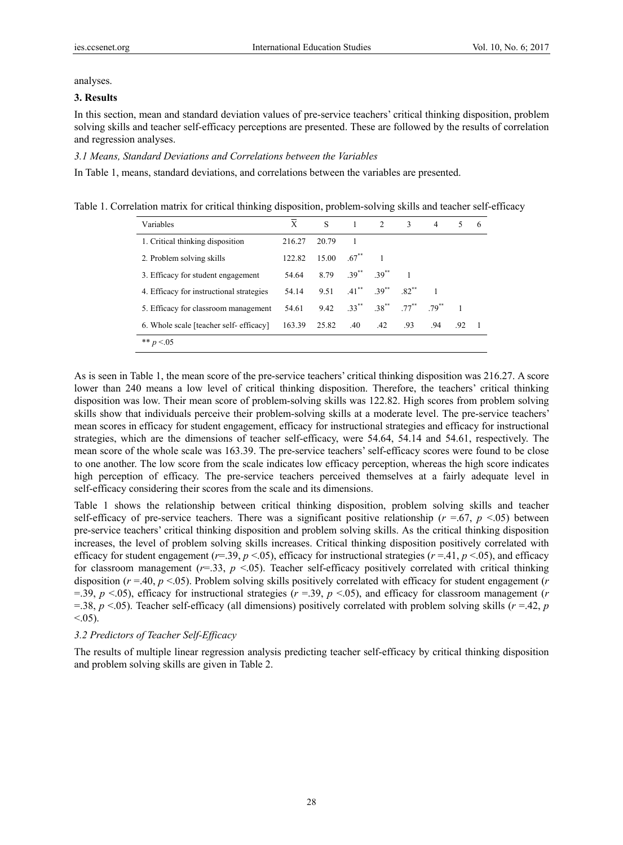analyses.

#### **3. Results**

In this section, mean and standard deviation values of pre-service teachers' critical thinking disposition, problem solving skills and teacher self-efficacy perceptions are presented. These are followed by the results of correlation and regression analyses.

*3.1 Means, Standard Deviations and Correlations between the Variables* 

In Table 1, means, standard deviations, and correlations between the variables are presented.

Table 1. Correlation matrix for critical thinking disposition, problem-solving skills and teacher self-efficacy

| Variables                                | X      | S     |                                  | 2                                | 3   | 4         | 5   | 6 |
|------------------------------------------|--------|-------|----------------------------------|----------------------------------|-----|-----------|-----|---|
| 1. Critical thinking disposition         | 216.27 | 20.79 |                                  |                                  |     |           |     |   |
| 2. Problem solving skills                | 122.82 | 15.00 | $.67$ <sup>**</sup>              |                                  |     |           |     |   |
| 3. Efficacy for student engagement       | 54.64  | 8.79  | $39^{**}$ $39^{**}$              |                                  |     |           |     |   |
| 4. Efficacy for instructional strategies | 54.14  | 9.51  | $.41^{**}$ $.39^{**}$ $.82^{**}$ |                                  |     |           |     |   |
| 5. Efficacy for classroom management     | 54.61  | 9.42  |                                  | $.33^{**}$ $.38^{**}$ $.77^{**}$ |     | $79^{**}$ |     |   |
| 6. Whole scale [teacher self-efficacy]   | 163.39 | 25.82 | .40                              | .42                              | -93 | .94       | .92 |   |
| ** $p < 0.05$                            |        |       |                                  |                                  |     |           |     |   |

As is seen in Table 1, the mean score of the pre-service teachers' critical thinking disposition was 216.27. A score lower than 240 means a low level of critical thinking disposition. Therefore, the teachers' critical thinking disposition was low. Their mean score of problem-solving skills was 122.82. High scores from problem solving skills show that individuals perceive their problem-solving skills at a moderate level. The pre-service teachers' mean scores in efficacy for student engagement, efficacy for instructional strategies and efficacy for instructional strategies, which are the dimensions of teacher self-efficacy, were 54.64, 54.14 and 54.61, respectively. The mean score of the whole scale was 163.39. The pre-service teachers' self-efficacy scores were found to be close to one another. The low score from the scale indicates low efficacy perception, whereas the high score indicates high perception of efficacy. The pre-service teachers perceived themselves at a fairly adequate level in self-efficacy considering their scores from the scale and its dimensions.

Table 1 shows the relationship between critical thinking disposition, problem solving skills and teacher self-efficacy of pre-service teachers. There was a significant positive relationship  $(r = .67, p < .05)$  between pre-service teachers' critical thinking disposition and problem solving skills. As the critical thinking disposition increases, the level of problem solving skills increases. Critical thinking disposition positively correlated with efficacy for student engagement ( $r=0.39$ ,  $p < 0.05$ ), efficacy for instructional strategies ( $r=0.41$ ,  $p < 0.05$ ), and efficacy for classroom management ( $r=0.33$ ,  $p <0.05$ ). Teacher self-efficacy positively correlated with critical thinking disposition (*r* =.40, *p* <.05). Problem solving skills positively correlated with efficacy for student engagement (*r* =.39,  $p$  <.05), efficacy for instructional strategies ( $r = .39$ ,  $p$  <.05), and efficacy for classroom management ( $r$  $=$ .38, *p* <.05). Teacher self-efficacy (all dimensions) positively correlated with problem solving skills (*r* =.42, *p*  $< 0.05$ ).

## *3.2 Predictors of Teacher Self-Efficacy*

The results of multiple linear regression analysis predicting teacher self-efficacy by critical thinking disposition and problem solving skills are given in Table 2.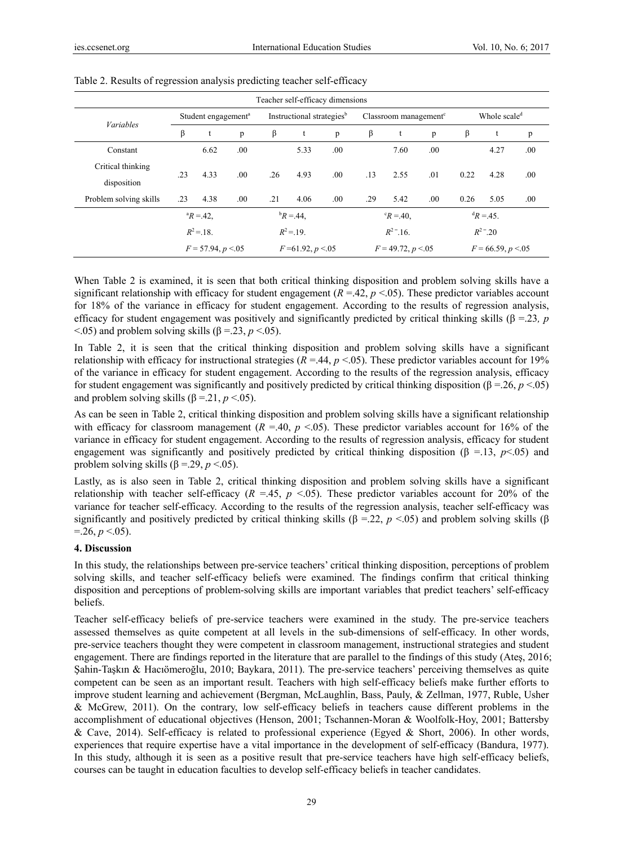| Teacher self-efficacy dimensions |                                       |                                 |                       |         |                                       |      |     |                                                  |     |      |                          |              |  |
|----------------------------------|---------------------------------------|---------------------------------|-----------------------|---------|---------------------------------------|------|-----|--------------------------------------------------|-----|------|--------------------------|--------------|--|
| Variables                        |                                       | Student engagement <sup>a</sup> |                       |         | Instructional strategies <sup>b</sup> |      |     | $Classroom$ management <sup><math>c</math></sup> |     |      | Whole scale <sup>d</sup> |              |  |
|                                  | β                                     | t                               | p                     | $\beta$ | t                                     | p    | β   | t                                                | p   | β    |                          | $\mathbf{p}$ |  |
| Constant                         |                                       | 6.62                            | .00.                  |         | 5.33                                  | .00. |     | 7.60                                             | .00 |      | 4.27                     | .00          |  |
| Critical thinking<br>disposition | .23                                   | 4.33                            | .00                   | .26     | 4.93                                  | .00. | .13 | 2.55                                             | .01 | 0.22 | 4.28                     | .00          |  |
| Problem solving skills           | .23                                   | 4.38                            | .00                   | $-21$   | 4.06                                  | .00. | .29 | 5.42                                             | .00 | 0.26 | 5.05                     | .00          |  |
|                                  | ${}^{\rm a}R = 42$ .                  |                                 | ${}^{\rm b}R = 44$ ,  |         | ${}^{\rm c}R = 40$ .                  |      |     | ${}^dR = 45$ .                                   |     |      |                          |              |  |
|                                  | $R^2 = 18$ .<br>$F = 57.94, p < 0.05$ |                                 | $R^2 = 19$ .          |         | $R^{2}$ = 16.                         |      |     | $R^{2}$ = 20                                     |     |      |                          |              |  |
|                                  |                                       |                                 | $F = 61.92, p < 0.05$ |         | $F = 49.72, p < 0.05$                 |      |     | $F = 66.59, p < 0.05$                            |     |      |                          |              |  |

Table 2. Results of regression analysis predicting teacher self-efficacy

When Table 2 is examined, it is seen that both critical thinking disposition and problem solving skills have a significant relationship with efficacy for student engagement  $(R = 42, p < 05)$ . These predictor variables account for 18% of the variance in efficacy for student engagement. According to the results of regression analysis, efficacy for student engagement was positively and significantly predicted by critical thinking skills (β =.23*, p*  $\leq$ .05) and problem solving skills ( $\beta$  =.23, *p*  $\leq$ .05).

In Table 2, it is seen that the critical thinking disposition and problem solving skills have a significant relationship with efficacy for instructional strategies ( $R = .44$ ,  $p < .05$ ). These predictor variables account for 19% of the variance in efficacy for student engagement. According to the results of the regression analysis, efficacy for student engagement was significantly and positively predicted by critical thinking disposition (β =.26, *p* <.05) and problem solving skills ( $\beta$  =.21,  $p$  <.05).

As can be seen in Table 2, critical thinking disposition and problem solving skills have a significant relationship with efficacy for classroom management ( $R = 40$ ,  $p < 0.05$ ). These predictor variables account for 16% of the variance in efficacy for student engagement. According to the results of regression analysis, efficacy for student engagement was significantly and positively predicted by critical thinking disposition ( $\beta$  =.13, *p*<.05) and problem solving skills ( $\beta$  =.29,  $p$  <.05).

Lastly, as is also seen in Table 2, critical thinking disposition and problem solving skills have a significant relationship with teacher self-efficacy ( $R = 45$ ,  $p < 05$ ). These predictor variables account for 20% of the variance for teacher self-efficacy. According to the results of the regression analysis, teacher self-efficacy was significantly and positively predicted by critical thinking skills ( $\beta$  =.22,  $p$  <.05) and problem solving skills ( $\beta$  $=$  26,  $p$  < 05).

#### **4. Discussion**

In this study, the relationships between pre-service teachers' critical thinking disposition, perceptions of problem solving skills, and teacher self-efficacy beliefs were examined. The findings confirm that critical thinking disposition and perceptions of problem-solving skills are important variables that predict teachers' self-efficacy beliefs.

Teacher self-efficacy beliefs of pre-service teachers were examined in the study. The pre-service teachers assessed themselves as quite competent at all levels in the sub-dimensions of self-efficacy. In other words, pre-service teachers thought they were competent in classroom management, instructional strategies and student engagement. There are findings reported in the literature that are parallel to the findings of this study (Ateş, 2016; Şahin-Taşkın & Hacıömeroğlu, 2010; Baykara, 2011). The pre-service teachers' perceiving themselves as quite competent can be seen as an important result. Teachers with high self-efficacy beliefs make further efforts to improve student learning and achievement (Bergman, McLaughlin, Bass, Pauly, & Zellman, 1977, Ruble, Usher & McGrew, 2011). On the contrary, low self-efficacy beliefs in teachers cause different problems in the accomplishment of educational objectives (Henson, 2001; Tschannen-Moran & Woolfolk-Hoy, 2001; Battersby & Cave, 2014). Self-efficacy is related to professional experience (Egyed & Short, 2006). In other words, experiences that require expertise have a vital importance in the development of self-efficacy (Bandura, 1977). In this study, although it is seen as a positive result that pre-service teachers have high self-efficacy beliefs, courses can be taught in education faculties to develop self-efficacy beliefs in teacher candidates.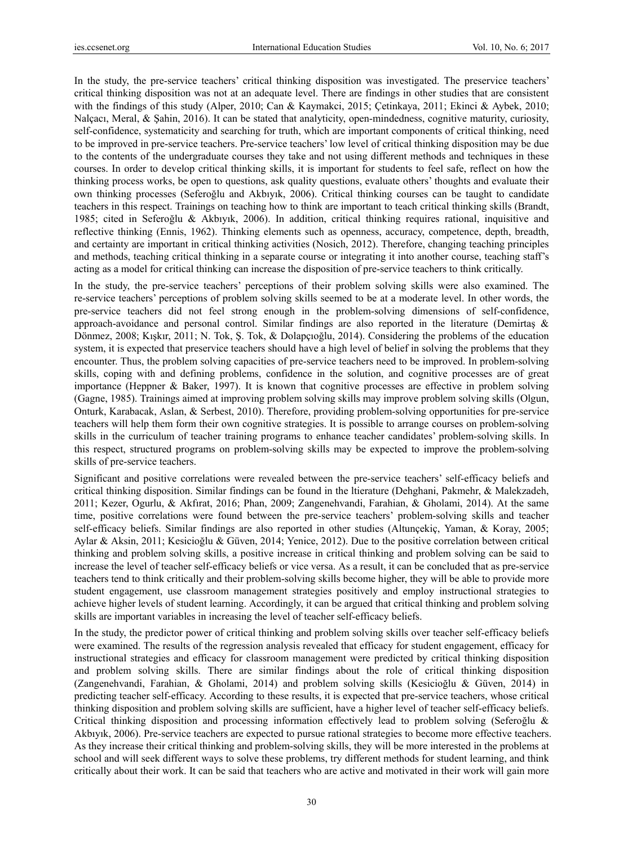In the study, the pre-service teachers' critical thinking disposition was investigated. The preservice teachers' critical thinking disposition was not at an adequate level. There are findings in other studies that are consistent with the findings of this study (Alper, 2010; Can & Kaymakci, 2015; Çetinkaya, 2011; Ekinci & Aybek, 2010; Nalçacı, Meral, & Şahin, 2016). It can be stated that analyticity, open-mindedness, cognitive maturity, curiosity, self-confidence, systematicity and searching for truth, which are important components of critical thinking, need to be improved in pre-service teachers. Pre-service teachers' low level of critical thinking disposition may be due to the contents of the undergraduate courses they take and not using different methods and techniques in these courses. In order to develop critical thinking skills, it is important for students to feel safe, reflect on how the thinking process works, be open to questions, ask quality questions, evaluate others' thoughts and evaluate their own thinking processes (Seferoğlu and Akbıyık, 2006). Critical thinking courses can be taught to candidate teachers in this respect. Trainings on teaching how to think are important to teach critical thinking skills (Brandt, 1985; cited in Seferoğlu & Akbıyık, 2006). In addition, critical thinking requires rational, inquisitive and reflective thinking (Ennis, 1962). Thinking elements such as openness, accuracy, competence, depth, breadth, and certainty are important in critical thinking activities (Nosich, 2012). Therefore, changing teaching principles and methods, teaching critical thinking in a separate course or integrating it into another course, teaching staff's acting as a model for critical thinking can increase the disposition of pre-service teachers to think critically.

In the study, the pre-service teachers' perceptions of their problem solving skills were also examined. The re-service teachers' perceptions of problem solving skills seemed to be at a moderate level. In other words, the pre-service teachers did not feel strong enough in the problem-solving dimensions of self-confidence, approach-avoidance and personal control. Similar findings are also reported in the literature (Demirtaş & Dönmez, 2008; Kışkır, 2011; N. Tok, Ş. Tok, & Dolapçıoğlu, 2014). Considering the problems of the education system, it is expected that preservice teachers should have a high level of belief in solving the problems that they encounter. Thus, the problem solving capacities of pre-service teachers need to be improved. In problem-solving skills, coping with and defining problems, confidence in the solution, and cognitive processes are of great importance (Heppner & Baker, 1997). It is known that cognitive processes are effective in problem solving (Gagne, 1985). Trainings aimed at improving problem solving skills may improve problem solving skills (Olgun, Onturk, Karabacak, Aslan, & Serbest, 2010). Therefore, providing problem-solving opportunities for pre-service teachers will help them form their own cognitive strategies. It is possible to arrange courses on problem-solving skills in the curriculum of teacher training programs to enhance teacher candidates' problem-solving skills. In this respect, structured programs on problem-solving skills may be expected to improve the problem-solving skills of pre-service teachers.

Significant and positive correlations were revealed between the pre-service teachers' self-efficacy beliefs and critical thinking disposition. Similar findings can be found in the ltierature (Dehghani, Pakmehr, & Malekzadeh, 2011; Kezer, Ogurlu, & Akfırat, 2016; Phan, 2009; Zangenehvandi, Farahian, & Gholami, 2014). At the same time, positive correlations were found between the pre-service teachers' problem-solving skills and teacher self-efficacy beliefs. Similar findings are also reported in other studies (Altunçekiç, Yaman, & Koray, 2005; Aylar & Aksin, 2011; Kesicioğlu & Güven, 2014; Yenice, 2012). Due to the positive correlation between critical thinking and problem solving skills, a positive increase in critical thinking and problem solving can be said to increase the level of teacher self-efficacy beliefs or vice versa. As a result, it can be concluded that as pre-service teachers tend to think critically and their problem-solving skills become higher, they will be able to provide more student engagement, use classroom management strategies positively and employ instructional strategies to achieve higher levels of student learning. Accordingly, it can be argued that critical thinking and problem solving skills are important variables in increasing the level of teacher self-efficacy beliefs.

In the study, the predictor power of critical thinking and problem solving skills over teacher self-efficacy beliefs were examined. The results of the regression analysis revealed that efficacy for student engagement, efficacy for instructional strategies and efficacy for classroom management were predicted by critical thinking disposition and problem solving skills. There are similar findings about the role of critical thinking disposition (Zangenehvandi, Farahian, & Gholami, 2014) and problem solving skills (Kesicioğlu & Güven, 2014) in predicting teacher self-efficacy. According to these results, it is expected that pre-service teachers, whose critical thinking disposition and problem solving skills are sufficient, have a higher level of teacher self-efficacy beliefs. Critical thinking disposition and processing information effectively lead to problem solving (Seferoğlu & Akbıyık, 2006). Pre-service teachers are expected to pursue rational strategies to become more effective teachers. As they increase their critical thinking and problem-solving skills, they will be more interested in the problems at school and will seek different ways to solve these problems, try different methods for student learning, and think critically about their work. It can be said that teachers who are active and motivated in their work will gain more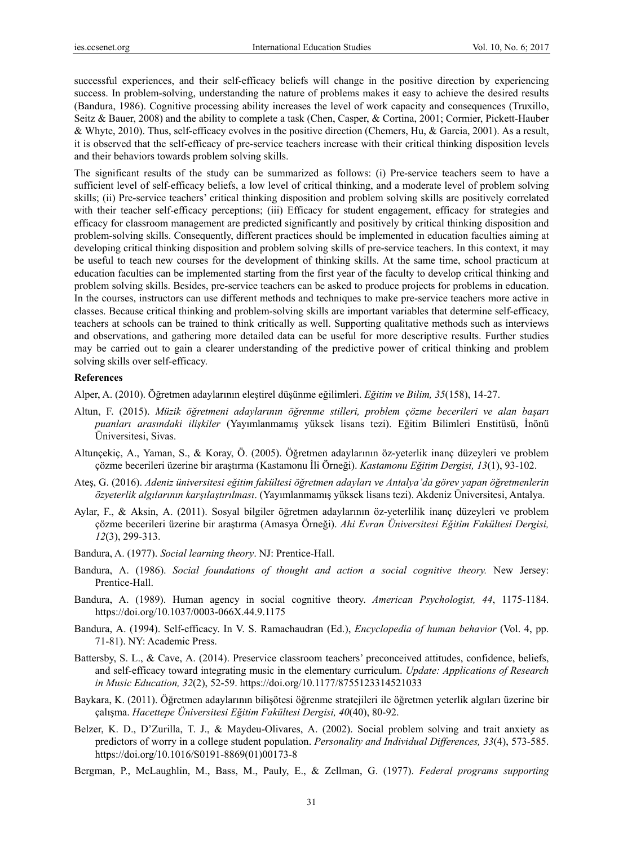successful experiences, and their self-efficacy beliefs will change in the positive direction by experiencing success. In problem-solving, understanding the nature of problems makes it easy to achieve the desired results (Bandura, 1986). Cognitive processing ability increases the level of work capacity and consequences (Truxillo, Seitz & Bauer, 2008) and the ability to complete a task (Chen, Casper, & Cortina, 2001; Cormier, Pickett-Hauber & Whyte, 2010). Thus, self-efficacy evolves in the positive direction (Chemers, Hu, & Garcia, 2001). As a result, it is observed that the self-efficacy of pre-service teachers increase with their critical thinking disposition levels and their behaviors towards problem solving skills.

The significant results of the study can be summarized as follows: (i) Pre-service teachers seem to have a sufficient level of self-efficacy beliefs, a low level of critical thinking, and a moderate level of problem solving skills; (ii) Pre-service teachers' critical thinking disposition and problem solving skills are positively correlated with their teacher self-efficacy perceptions; (iii) Efficacy for student engagement, efficacy for strategies and efficacy for classroom management are predicted significantly and positively by critical thinking disposition and problem-solving skills. Consequently, different practices should be implemented in education faculties aiming at developing critical thinking disposition and problem solving skills of pre-service teachers. In this context, it may be useful to teach new courses for the development of thinking skills. At the same time, school practicum at education faculties can be implemented starting from the first year of the faculty to develop critical thinking and problem solving skills. Besides, pre-service teachers can be asked to produce projects for problems in education. In the courses, instructors can use different methods and techniques to make pre-service teachers more active in classes. Because critical thinking and problem-solving skills are important variables that determine self-efficacy, teachers at schools can be trained to think critically as well. Supporting qualitative methods such as interviews and observations, and gathering more detailed data can be useful for more descriptive results. Further studies may be carried out to gain a clearer understanding of the predictive power of critical thinking and problem solving skills over self-efficacy.

#### **References**

Alper, A. (2010). Öğretmen adaylarının eleştirel düşünme eğilimleri. *Eğitim ve Bilim, 35*(158), 14-27.

- Altun, F. (2015). *Müzik öğretmeni adaylarının öğrenme stilleri, problem çözme becerileri ve alan başarı puanları arasındaki ilişkiler* (Yayımlanmamış yüksek lisans tezi). Eğitim Bilimleri Enstitüsü, İnönü Üniversitesi, Sivas.
- Altunçekiç, A., Yaman, S., & Koray, Ö. (2005). Öğretmen adaylarının öz-yeterlik inanç düzeyleri ve problem çözme becerileri üzerine bir araştırma (Kastamonu İli Örneği). *Kastamonu Eğitim Dergisi, 13*(1), 93-102.
- Ateş, G. (2016). *Adeniz üniversitesi eğitim fakültesi öğretmen adayları ve Antalya'da görev yapan öğretmenlerin özyeterlik algılarının karşılaştırılması*. (Yayımlanmamış yüksek lisans tezi). Akdeniz Üniversitesi, Antalya.
- Aylar, F., & Aksin, A. (2011). Sosyal bilgiler öğretmen adaylarının öz-yeterlilik inanç düzeyleri ve problem çözme becerileri üzerine bir araştırma (Amasya Örneği). *Ahi Evran Üniversitesi Eğitim Fakültesi Dergisi, 12*(3), 299-313.
- Bandura, A. (1977). *Social learning theory*. NJ: Prentice-Hall.
- Bandura, A. (1986). *Social foundations of thought and action a social cognitive theory.* New Jersey: Prentice-Hall.
- Bandura, A. (1989). Human agency in social cognitive theory. *American Psychologist, 44*, 1175-1184. https://doi.org/10.1037/0003-066X.44.9.1175
- Bandura, A. (1994). Self-efficacy. In V. S. Ramachaudran (Ed.), *Encyclopedia of human behavior* (Vol. 4, pp. 71-81). NY: Academic Press.
- Battersby, S. L., & Cave, A. (2014). Preservice classroom teachers' preconceived attitudes, confidence, beliefs, and self-efficacy toward integrating music in the elementary curriculum. *Update: Applications of Research in Music Education, 32*(2), 52-59. https://doi.org/10.1177/8755123314521033
- Baykara, K. (2011). Öğretmen adaylarının bilişötesi öğrenme stratejileri ile öğretmen yeterlik algıları üzerine bir çalışma. *Hacettepe Üniversitesi Eğitim Fakültesi Dergisi, 40*(40), 80-92.
- Belzer, K. D., D'Zurilla, T. J., & Maydeu-Olivares, A. (2002). Social problem solving and trait anxiety as predictors of worry in a college student population. *Personality and Individual Differences, 33*(4), 573-585. https://doi.org/10.1016/S0191-8869(01)00173-8
- Bergman, P., McLaughlin, M., Bass, M., Pauly, E., & Zellman, G. (1977). *Federal programs supporting*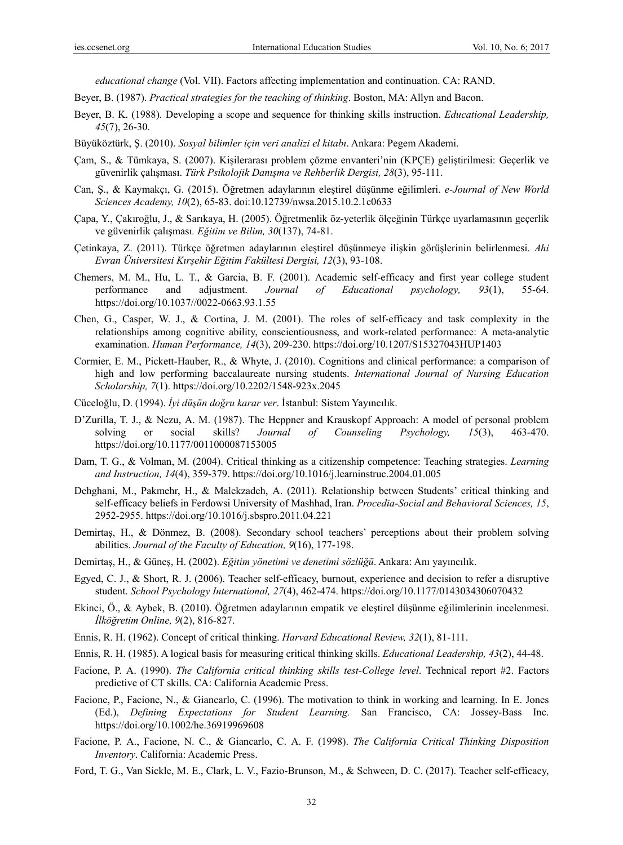*educational change* (Vol. VII). Factors affecting implementation and continuation. CA: RAND.

- Beyer, B. (1987). *Practical strategies for the teaching of thinking*. Boston, MA: Allyn and Bacon.
- Beyer, B. K. (1988). Developing a scope and sequence for thinking skills instruction. *Educational Leadership, 45*(7), 26-30.
- Büyüköztürk, Ş. (2010). *Sosyal bilimler için veri analizi el kitabı*. Ankara: Pegem Akademi.
- Çam, S., & Tümkaya, S. (2007). Kişilerarası problem çözme envanteri'nin (KPÇE) geliştirilmesi: Geçerlik ve güvenirlik çalışması. *Türk Psikolojik Danışma ve Rehberlik Dergisi, 28*(3), 95-111.
- Can, Ş., & Kaymakçı, G. (2015). Öğretmen adaylarının eleştirel düşünme eğilimleri. *e-Journal of New World Sciences Academy, 10*(2), 65-83. doi:10.12739/nwsa.2015.10.2.1c0633
- Çapa, Y., Çakıroğlu, J., & Sarıkaya, H. (2005). Öğretmenlik öz-yeterlik ölçeğinin Türkçe uyarlamasının geçerlik ve güvenirlik çalışması*. Eğitim ve Bilim, 30*(137), 74-81.
- Çetinkaya, Z. (2011). Türkçe öğretmen adaylarının eleştirel düşünmeye ilişkin görüşlerinin belirlenmesi. *Ahi Evran Üniversitesi Kırşehir Eğitim Fakültesi Dergisi, 12*(3), 93-108.
- Chemers, M. M., Hu, L. T., & Garcia, B. F. (2001). Academic self-efficacy and first year college student performance and adjustment. *Journal of Educational psychology, 93*(1), 55-64. https://doi.org/10.1037//0022-0663.93.1.55
- Chen, G., Casper, W. J., & Cortina, J. M. (2001). The roles of self-efficacy and task complexity in the relationships among cognitive ability, conscientiousness, and work-related performance: A meta-analytic examination. *Human Performance, 14*(3), 209-230. https://doi.org/10.1207/S15327043HUP1403
- Cormier, E. M., Pickett-Hauber, R., & Whyte, J. (2010). Cognitions and clinical performance: a comparison of high and low performing baccalaureate nursing students. *International Journal of Nursing Education Scholarship, 7*(1). https://doi.org/10.2202/1548-923x.2045
- Cüceloğlu, D. (1994). *İyi düşün doğru karar ver*. İstanbul: Sistem Yayıncılık.
- D'Zurilla, T. J., & Nezu, A. M. (1987). The Heppner and Krauskopf Approach: A model of personal problem solving or social skills? *Journal of Counseling Psychology, 15*(3), 463-470. https://doi.org/10.1177/0011000087153005
- Dam, T. G., & Volman, M. (2004). Critical thinking as a citizenship competence: Teaching strategies. *Learning and Instruction, 14*(4), 359-379. https://doi.org/10.1016/j.learninstruc.2004.01.005
- Dehghani, M., Pakmehr, H., & Malekzadeh, A. (2011). Relationship between Students' critical thinking and self-efficacy beliefs in Ferdowsi University of Mashhad, Iran. *Procedia-Social and Behavioral Sciences, 15*, 2952-2955. https://doi.org/10.1016/j.sbspro.2011.04.221
- Demirtaş, H., & Dönmez, B. (2008). Secondary school teachers' perceptions about their problem solving abilities. *Journal of the Faculty of Education, 9*(16), 177-198.
- Demirtaş, H., & Güneş, H. (2002). *Eğitim yönetimi ve denetimi sözlüğü*. Ankara: Anı yayıncılık.
- Egyed, C. J., & Short, R. J. (2006). Teacher self-efficacy, burnout, experience and decision to refer a disruptive student. *School Psychology International, 27*(4), 462-474. https://doi.org/10.1177/0143034306070432
- Ekinci, Ö., & Aybek, B. (2010). Öğretmen adaylarının empatik ve eleştirel düşünme eğilimlerinin incelenmesi. *İlköğretim Online, 9*(2), 816-827.
- Ennis, R. H. (1962). Concept of critical thinking. *Harvard Educational Review, 32*(1), 81-111.
- Ennis, R. H. (1985). A logical basis for measuring critical thinking skills. *Educational Leadership, 43*(2), 44-48.
- Facione, P. A. (1990). *The California critical thinking skills test-College level*. Technical report #2. Factors predictive of CT skills. CA: California Academic Press.
- Facione, P., Facione, N., & Giancarlo, C. (1996). The motivation to think in working and learning. In E. Jones (Ed.), *Defining Expectations for Student Learning.* San Francisco, CA: Jossey-Bass Inc. https://doi.org/10.1002/he.36919969608
- Facione, P. A., Facione, N. C., & Giancarlo, C. A. F. (1998). *The California Critical Thinking Disposition Inventory*. California: Academic Press.
- Ford, T. G., Van Sickle, M. E., Clark, L. V., Fazio-Brunson, M., & Schween, D. C. (2017). Teacher self-efficacy,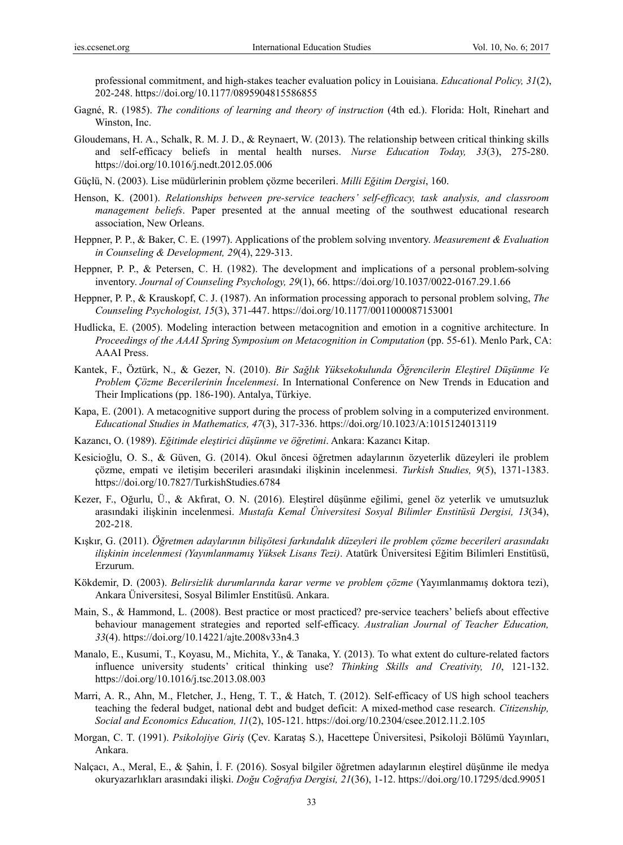professional commitment, and high-stakes teacher evaluation policy in Louisiana. *Educational Policy, 31*(2), 202-248. https://doi.org/10.1177/0895904815586855

- Gagné, R. (1985). *The conditions of learning and theory of instruction* (4th ed.). Florida: Holt, Rinehart and Winston, Inc.
- Gloudemans, H. A., Schalk, R. M. J. D., & Reynaert, W. (2013). The relationship between critical thinking skills and self-efficacy beliefs in mental health nurses. *Nurse Education Today, 33*(3), 275-280. https://doi.org/10.1016/j.nedt.2012.05.006
- Güçlü, N. (2003). Lise müdürlerinin problem çözme becerileri. *Milli Eğitim Dergisi*, 160.
- Henson, K. (2001). *Relationships between pre-service teachers' self-efficacy, task analysis, and classroom management beliefs*. Paper presented at the annual meeting of the southwest educational research association, New Orleans.
- Heppner, P. P., & Baker, C. E. (1997). Applications of the problem solving ınventory. *Measurement & Evaluation in Counseling & Development, 29*(4), 229-313.
- Heppner, P. P., & Petersen, C. H. (1982). The development and implications of a personal problem-solving inventory. *Journal of Counseling Psychology, 29*(1), 66. https://doi.org/10.1037/0022-0167.29.1.66
- Heppner, P. P., & Krauskopf, C. J. (1987). An information processing apporach to personal problem solving, *The Counseling Psychologist, 15*(3), 371-447. https://doi.org/10.1177/0011000087153001
- Hudlicka, E. (2005). Modeling interaction between metacognition and emotion in a cognitive architecture. In *Proceedings of the AAAI Spring Symposium on Metacognition in Computation* (pp. 55-61). Menlo Park, CA: AAAI Press.
- Kantek, F., Öztürk, N., & Gezer, N. (2010). *Bir Sağlık Yüksekokulunda Öğrencilerin Eleştirel Düşünme Ve Problem Çözme Becerilerinin İncelenmesi*. In International Conference on New Trends in Education and Their Implications (pp. 186-190). Antalya, Türkiye.
- Kapa, E. (2001). A metacognitive support during the process of problem solving in a computerized environment. *Educational Studies in Mathematics, 47*(3), 317-336. https://doi.org/10.1023/A:1015124013119
- Kazancı, O. (1989). *Eğitimde eleştirici düşünme ve öğretimi*. Ankara: Kazancı Kitap.
- Kesicioğlu, O. S., & Güven, G. (2014). Okul öncesi öğretmen adaylarının özyeterlik düzeyleri ile problem çözme, empati ve iletişim becerileri arasındaki ilişkinin incelenmesi. *Turkish Studies, 9*(5), 1371-1383. https://doi.org/10.7827/TurkishStudies.6784
- Kezer, F., Oğurlu, Ü., & Akfırat, O. N. (2016). Eleştirel düşünme eğilimi, genel öz yeterlik ve umutsuzluk arasındaki ilişkinin incelenmesi. *Mustafa Kemal Üniversitesi Sosyal Bilimler Enstitüsü Dergisi, 13*(34), 202-218.
- Kışkır, G. (2011). *Öğretmen adaylarının bilişötesi farkındalık düzeyleri ile problem çözme becerileri arasındakı ilişkinin incelenmesi (Yayımlanmamış Yüksek Lisans Tezi)*. Atatürk Üniversitesi Eğitim Bilimleri Enstitüsü, Erzurum.
- Kökdemir, D. (2003). *Belirsizlik durumlarında karar verme ve problem çözme* (Yayımlanmamış doktora tezi), Ankara Üniversitesi, Sosyal Bilimler Enstitüsü. Ankara.
- Main, S., & Hammond, L. (2008). Best practice or most practiced? pre-service teachers' beliefs about effective behaviour management strategies and reported self-efficacy. *Australian Journal of Teacher Education, 33*(4). https://doi.org/10.14221/ajte.2008v33n4.3
- Manalo, E., Kusumi, T., Koyasu, M., Michita, Y., & Tanaka, Y. (2013). To what extent do culture-related factors influence university students' critical thinking use? *Thinking Skills and Creativity, 10*, 121-132. https://doi.org/10.1016/j.tsc.2013.08.003
- Marri, A. R., Ahn, M., Fletcher, J., Heng, T. T., & Hatch, T. (2012). Self-efficacy of US high school teachers teaching the federal budget, national debt and budget deficit: A mixed-method case research. *Citizenship, Social and Economics Education, 11*(2), 105-121. https://doi.org/10.2304/csee.2012.11.2.105
- Morgan, C. T. (1991). *Psikolojiye Giriş* (Çev. Karataş S.), Hacettepe Üniversitesi, Psikoloji Bölümü Yayınları, Ankara.
- Nalçacı, A., Meral, E., & Şahin, İ. F. (2016). Sosyal bilgiler öğretmen adaylarının eleştirel düşünme ile medya okuryazarlıkları arasındaki ilişki. *Doğu Coğrafya Dergisi, 21*(36), 1-12. https://doi.org/10.17295/dcd.99051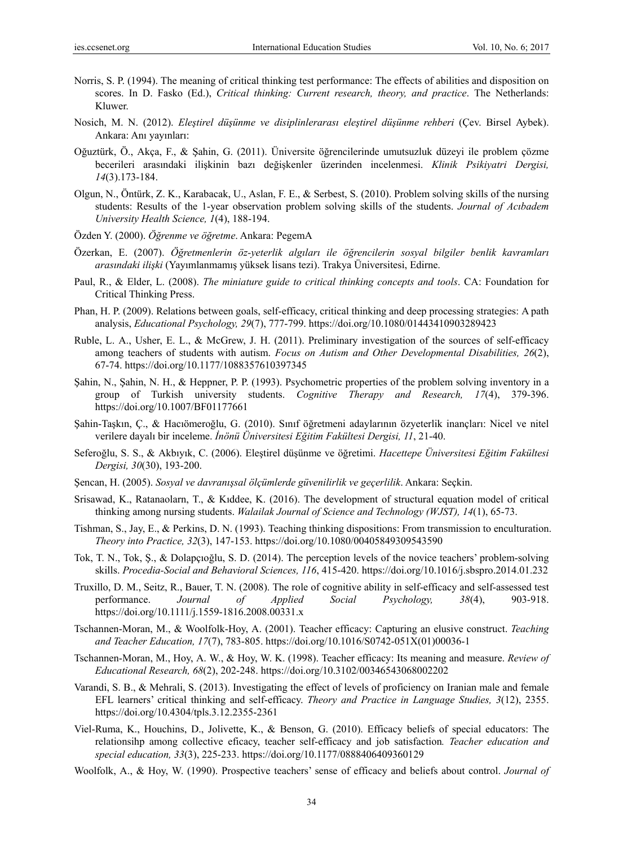- Norris, S. P. (1994). The meaning of critical thinking test performance: The effects of abilities and disposition on scores. In D. Fasko (Ed.), *Critical thinking: Current research, theory, and practice*. The Netherlands: Kluwer.
- Nosich, M. N. (2012). *Eleştirel düşünme ve disiplinlerarası eleştirel düşünme rehberi* (Çev. Birsel Aybek). Ankara: Anı yayınları:
- Oğuztürk, Ö., Akça, F., & Şahin, G. (2011). Üniversite öğrencilerinde umutsuzluk düzeyi ile problem çözme becerileri arasındaki ilişkinin bazı değişkenler üzerinden incelenmesi. *Klinik Psikiyatri Dergisi, 14*(3).173-184.
- Olgun, N., Öntürk, Z. K., Karabacak, U., Aslan, F. E., & Serbest, S. (2010). Problem solving skills of the nursing students: Results of the 1-year observation problem solving skills of the students. *Journal of Acıbadem University Health Science, 1*(4), 188-194.
- Özden Y. (2000). *Öğrenme ve öğretme*. Ankara: PegemA
- Özerkan, E. (2007). *Öğretmenlerin öz-yeterlik algıları ile öğrencilerin sosyal bilgiler benlik kavramları arasındaki ilişki* (Yayımlanmamış yüksek lisans tezi). Trakya Üniversitesi, Edirne.
- Paul, R., & Elder, L. (2008). *The miniature guide to critical thinking concepts and tools*. CA: Foundation for Critical Thinking Press.
- Phan, H. P. (2009). Relations between goals, self-efficacy, critical thinking and deep processing strategies: A path analysis, *Educational Psychology, 29*(7), 777-799. https://doi.org/10.1080/01443410903289423
- Ruble, L. A., Usher, E. L., & McGrew, J. H. (2011). Preliminary investigation of the sources of self-efficacy among teachers of students with autism. *Focus on Autism and Other Developmental Disabilities, 26*(2), 67-74. https://doi.org/10.1177/1088357610397345
- Şahin, N., Şahin, N. H., & Heppner, P. P. (1993). Psychometric properties of the problem solving inventory in a group of Turkish university students. *Cognitive Therapy and Research, 17*(4), 379-396. https://doi.org/10.1007/BF01177661
- Şahin-Taşkın, Ç., & Hacıömeroğlu, G. (2010). Sınıf öğretmeni adaylarının özyeterlik inançları: Nicel ve nitel verilere dayalı bir inceleme. *İnönü Üniversitesi Eğitim Fakültesi Dergisi, 11*, 21-40.
- Seferoğlu, S. S., & Akbıyık, C. (2006). Eleştirel düşünme ve öğretimi. *Hacettepe Üniversitesi Eğitim Fakültesi Dergisi, 30*(30), 193-200.
- Şencan, H. (2005). *Sosyal ve davranışsal ölçümlerde güvenilirlik ve geçerlilik*. Ankara: Seçkin.
- Srisawad, K., Ratanaolarn, T., & Kıddee, K. (2016). The development of structural equation model of critical thinking among nursing students. *Walailak Journal of Science and Technology (WJST), 14*(1), 65-73.
- Tishman, S., Jay, E., & Perkins, D. N. (1993). Teaching thinking dispositions: From transmission to enculturation. *Theory into Practice, 32*(3), 147-153. https://doi.org/10.1080/00405849309543590
- Tok, T. N., Tok, Ş., & Dolapçıoğlu, S. D. (2014). The perception levels of the novice teachers' problem-solving skills. *Procedia-Social and Behavioral Sciences, 116*, 415-420. https://doi.org/10.1016/j.sbspro.2014.01.232
- Truxillo, D. M., Seitz, R., Bauer, T. N. (2008). The role of cognitive ability in self-efficacy and self-assessed test performance. *Journal of Applied Social Psychology, 38*(4), 903-918. https://doi.org/10.1111/j.1559-1816.2008.00331.x
- Tschannen-Moran, M., & Woolfolk-Hoy, A. (2001). Teacher efficacy: Capturing an elusive construct. *Teaching and Teacher Education, 17*(7), 783-805. https://doi.org/10.1016/S0742-051X(01)00036-1
- Tschannen-Moran, M., Hoy, A. W., & Hoy, W. K. (1998). Teacher efficacy: Its meaning and measure. *Review of Educational Research, 68*(2), 202-248. https://doi.org/10.3102/00346543068002202
- Varandi, S. B., & Mehrali, S. (2013). Investigating the effect of levels of proficiency on Iranian male and female EFL learners' critical thinking and self-efficacy. *Theory and Practice in Language Studies, 3*(12), 2355. https://doi.org/10.4304/tpls.3.12.2355-2361
- Viel-Ruma, K., Houchins, D., Jolivette, K., & Benson, G. (2010). Efficacy beliefs of special educators: The relationsihp among collective eficacy, teacher self-efficacy and job satisfaction*. Teacher education and special education, 33*(3), 225-233. https://doi.org/10.1177/0888406409360129
- Woolfolk, A., & Hoy, W. (1990). Prospective teachers' sense of efficacy and beliefs about control. *Journal of*